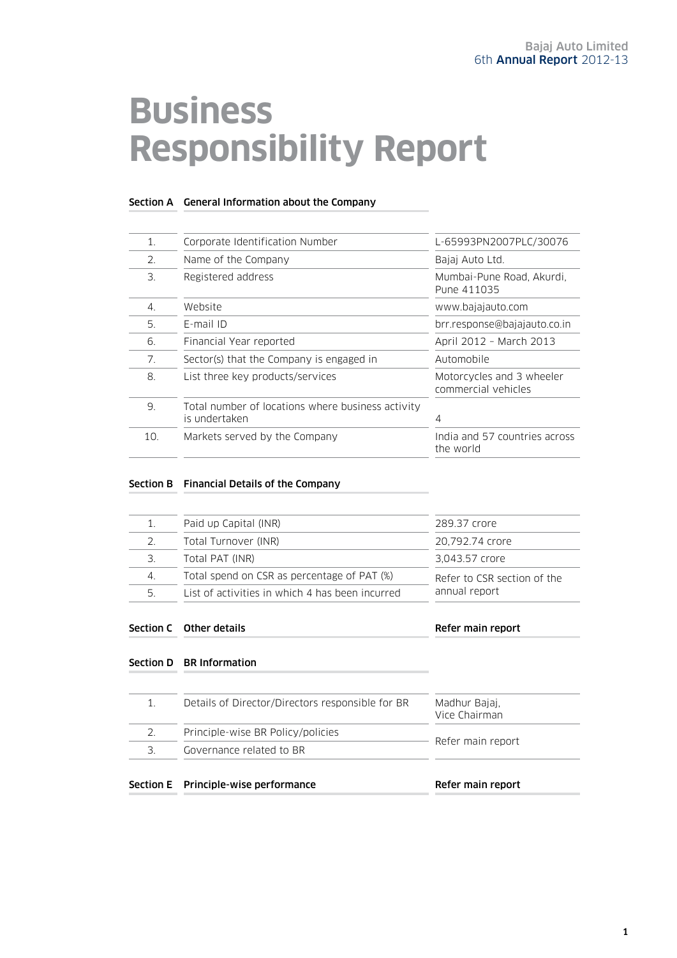# **Business Responsibility Report**

#### Section A General Information about the Company

|                                                                    | L-65993PN2007PLC/30076                           |  |
|--------------------------------------------------------------------|--------------------------------------------------|--|
| Name of the Company                                                | Bajaj Auto Ltd.                                  |  |
| Registered address                                                 | Mumbai-Pune Road, Akurdi,<br>Pune 411035         |  |
| Website                                                            | www.bajajauto.com                                |  |
| E-mail ID                                                          | brr.response@bajajauto.co.in                     |  |
| Financial Year reported                                            | April 2012 - March 2013                          |  |
| Sector(s) that the Company is engaged in                           | Automobile                                       |  |
| List three key products/services                                   | Motorcycles and 3 wheeler<br>commercial vehicles |  |
| Total number of locations where business activity<br>is undertaken | 4                                                |  |
| Markets served by the Company                                      | India and 57 countries across<br>the world       |  |
|                                                                    | Corporate Identification Number                  |  |

#### Section B Financial Details of the Company

|    | Paid up Capital (INR)                           |                                                                                                   |  |
|----|-------------------------------------------------|---------------------------------------------------------------------------------------------------|--|
|    |                                                 | 289.37 crore<br>20,792.74 crore<br>3,043.57 crore<br>Refer to CSR section of the<br>annual report |  |
| 2. | Total Turnover (INR)                            |                                                                                                   |  |
|    | Total PAT (INR)                                 |                                                                                                   |  |
| 4. | Total spend on CSR as percentage of PAT (%)     |                                                                                                   |  |
| 5. | List of activities in which 4 has been incurred |                                                                                                   |  |

#### Section C Other details and the section C Other details and the section of the Refer main report

#### Section D BR Information

| Governance related to BR |                                                                                       |  |
|--------------------------|---------------------------------------------------------------------------------------|--|
|                          | Refer main report                                                                     |  |
|                          | Madhur Bajaj,<br>Vice Chairman                                                        |  |
|                          | Details of Director/Directors responsible for BR<br>Principle-wise BR Policy/policies |  |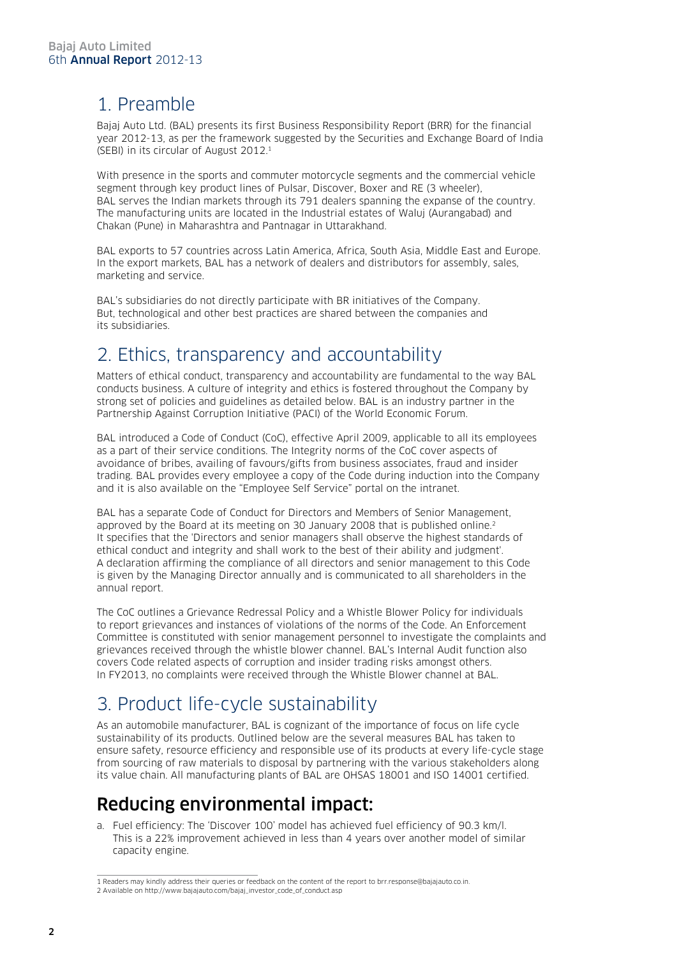### 1. Preamble

Bajaj Auto Ltd. (BAL) presents its first Business Responsibility Report (BRR) for the financial year 2012-13, as per the framework suggested by the Securities and Exchange Board of India (SEBI) in its circular of August 2012.1

With presence in the sports and commuter motorcycle segments and the commercial vehicle segment through key product lines of Pulsar, Discover, Boxer and RE (3 wheeler), BAL serves the Indian markets through its 791 dealers spanning the expanse of the country. The manufacturing units are located in the Industrial estates of Waluj (Aurangabad) and Chakan (Pune) in Maharashtra and Pantnagar in Uttarakhand.

BAL exports to 57 countries across Latin America, Africa, South Asia, Middle East and Europe. In the export markets, BAL has a network of dealers and distributors for assembly, sales, marketing and service.

BAL's subsidiaries do not directly participate with BR initiatives of the Company. But, technological and other best practices are shared between the companies and its subsidiaries.

### 2. Ethics, transparency and accountability

Matters of ethical conduct, transparency and accountability are fundamental to the way BAL conducts business. A culture of integrity and ethics is fostered throughout the Company by strong set of policies and guidelines as detailed below. BAL is an industry partner in the Partnership Against Corruption Initiative (PACI) of the World Economic Forum.

BAL introduced a Code of Conduct (CoC), effective April 2009, applicable to all its employees as a part of their service conditions. The Integrity norms of the CoC cover aspects of avoidance of bribes, availing of favours/gifts from business associates, fraud and insider trading. BAL provides every employee a copy of the Code during induction into the Company and it is also available on the "Employee Self Service" portal on the intranet.

BAL has a separate Code of Conduct for Directors and Members of Senior Management, approved by the Board at its meeting on 30 January 2008 that is published online.<sup>2</sup> It specifies that the 'Directors and senior managers shall observe the highest standards of ethical conduct and integrity and shall work to the best of their ability and judgment'. A declaration affirming the compliance of all directors and senior management to this Code is given by the Managing Director annually and is communicated to all shareholders in the annual report.

The CoC outlines a Grievance Redressal Policy and a Whistle Blower Policy for individuals to report grievances and instances of violations of the norms of the Code. An Enforcement Committee is constituted with senior management personnel to investigate the complaints and grievances received through the whistle blower channel. BAL's Internal Audit function also covers Code related aspects of corruption and insider trading risks amongst others. In FY2013, no complaints were received through the Whistle Blower channel at BAL.

# 3. Product life-cycle sustainability

As an automobile manufacturer, BAL is cognizant of the importance of focus on life cycle sustainability of its products. Outlined below are the several measures BAL has taken to ensure safety, resource efficiency and responsible use of its products at every life-cycle stage from sourcing of raw materials to disposal by partnering with the various stakeholders along its value chain. All manufacturing plants of BAL are OHSAS 18001 and ISO 14001 certified.

### Reducing environmental impact:

a. Fuel efficiency: The 'Discover 100' model has achieved fuel efficiency of 90.3 km/l. This is a 22% improvement achieved in less than 4 years over another model of similar capacity engine.

<sup>1</sup> Readers may kindly address their queries or feedback on the content of the report to brr.response@bajajauto.co.in.

<sup>2</sup> Available on http://www.bajajauto.com/bajaj\_investor\_code\_of\_conduct.asp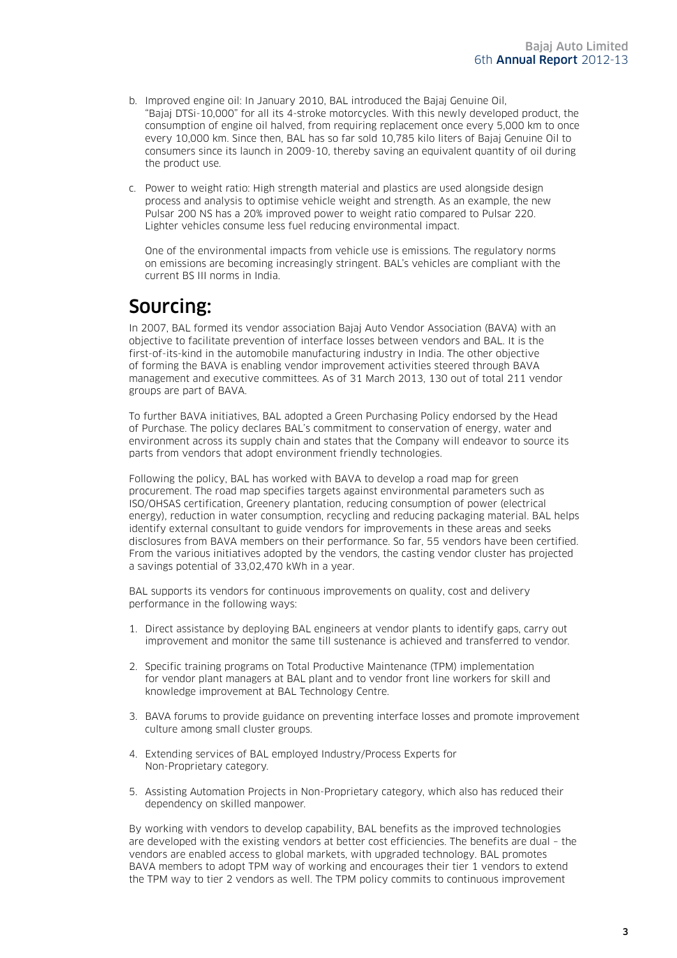- b. Improved engine oil: In January 2010, BAL introduced the Bajaj Genuine Oil, "Bajaj DTSi-10,000" for all its 4-stroke motorcycles. With this newly developed product, the consumption of engine oil halved, from requiring replacement once every 5,000 km to once every 10,000 km. Since then, BAL has so far sold 10,785 kilo liters of Bajaj Genuine Oil to consumers since its launch in 2009-10, thereby saving an equivalent quantity of oil during the product use.
- c. Power to weight ratio: High strength material and plastics are used alongside design process and analysis to optimise vehicle weight and strength. As an example, the new Pulsar 200 NS has a 20% improved power to weight ratio compared to Pulsar 220. Lighter vehicles consume less fuel reducing environmental impact.

One of the environmental impacts from vehicle use is emissions. The regulatory norms on emissions are becoming increasingly stringent. BAL's vehicles are compliant with the current BS III norms in India.

### Sourcing:

In 2007, BAL formed its vendor association Bajaj Auto Vendor Association (BAVA) with an objective to facilitate prevention of interface losses between vendors and BAL. It is the first-of-its-kind in the automobile manufacturing industry in India. The other objective of forming the BAVA is enabling vendor improvement activities steered through BAVA management and executive committees. As of 31 March 2013, 130 out of total 211 vendor groups are part of BAVA.

To further BAVA initiatives, BAL adopted a Green Purchasing Policy endorsed by the Head of Purchase. The policy declares BAL's commitment to conservation of energy, water and environment across its supply chain and states that the Company will endeavor to source its parts from vendors that adopt environment friendly technologies.

Following the policy, BAL has worked with BAVA to develop a road map for green procurement. The road map specifies targets against environmental parameters such as ISO/OHSAS certification, Greenery plantation, reducing consumption of power (electrical energy), reduction in water consumption, recycling and reducing packaging material. BAL helps identify external consultant to guide vendors for improvements in these areas and seeks disclosures from BAVA members on their performance. So far, 55 vendors have been certified. From the various initiatives adopted by the vendors, the casting vendor cluster has projected a savings potential of 33,02,470 kWh in a year.

BAL supports its vendors for continuous improvements on quality, cost and delivery performance in the following ways:

- 1. Direct assistance by deploying BAL engineers at vendor plants to identify gaps, carry out improvement and monitor the same till sustenance is achieved and transferred to vendor.
- 2. Specific training programs on Total Productive Maintenance (TPM) implementation for vendor plant managers at BAL plant and to vendor front line workers for skill and knowledge improvement at BAL Technology Centre.
- 3. BAVA forums to provide guidance on preventing interface losses and promote improvement culture among small cluster groups.
- 4. Extending services of BAL employed Industry/Process Experts for Non-Proprietary category.
- 5. Assisting Automation Projects in Non-Proprietary category, which also has reduced their dependency on skilled manpower.

By working with vendors to develop capability, BAL benefits as the improved technologies are developed with the existing vendors at better cost efficiencies. The benefits are dual – the vendors are enabled access to global markets, with upgraded technology. BAL promotes BAVA members to adopt TPM way of working and encourages their tier 1 vendors to extend the TPM way to tier 2 vendors as well. The TPM policy commits to continuous improvement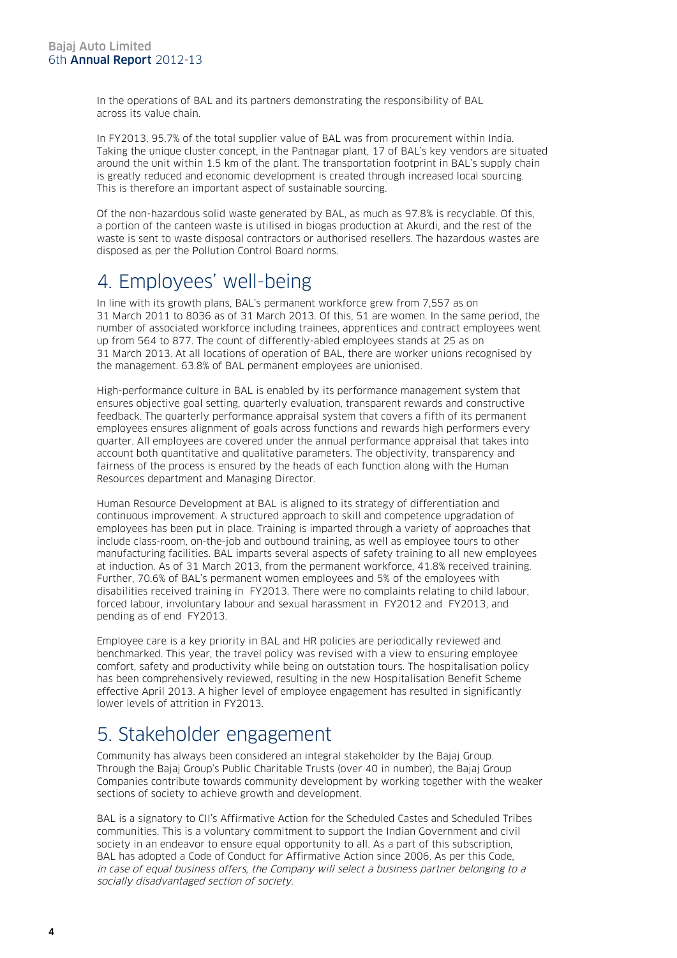In the operations of BAL and its partners demonstrating the responsibility of BAL across its value chain.

In FY2013, 95.7% of the total supplier value of BAL was from procurement within India. Taking the unique cluster concept, in the Pantnagar plant, 17 of BAL's key vendors are situated around the unit within 1.5 km of the plant. The transportation footprint in BAL's supply chain is greatly reduced and economic development is created through increased local sourcing. This is therefore an important aspect of sustainable sourcing.

Of the non-hazardous solid waste generated by BAL, as much as 97.8% is recyclable. Of this, a portion of the canteen waste is utilised in biogas production at Akurdi, and the rest of the waste is sent to waste disposal contractors or authorised resellers. The hazardous wastes are disposed as per the Pollution Control Board norms.

### 4. Employees' well-being

In line with its growth plans, BAL's permanent workforce grew from 7,557 as on 31 March 2011 to 8036 as of 31 March 2013. Of this, 51 are women. In the same period, the number of associated workforce including trainees, apprentices and contract employees went up from 564 to 877. The count of differently-abled employees stands at 25 as on 31 March 2013. At all locations of operation of BAL, there are worker unions recognised by the management. 63.8% of BAL permanent employees are unionised.

High-performance culture in BAL is enabled by its performance management system that ensures objective goal setting, quarterly evaluation, transparent rewards and constructive feedback. The quarterly performance appraisal system that covers a fifth of its permanent employees ensures alignment of goals across functions and rewards high performers every quarter. All employees are covered under the annual performance appraisal that takes into account both quantitative and qualitative parameters. The objectivity, transparency and fairness of the process is ensured by the heads of each function along with the Human Resources department and Managing Director.

Human Resource Development at BAL is aligned to its strategy of differentiation and continuous improvement. A structured approach to skill and competence upgradation of employees has been put in place. Training is imparted through a variety of approaches that include class-room, on-the-job and outbound training, as well as employee tours to other manufacturing facilities. BAL imparts several aspects of safety training to all new employees at induction. As of 31 March 2013, from the permanent workforce, 41.8% received training. Further, 70.6% of BAL's permanent women employees and 5% of the employees with disabilities received training in FY2013. There were no complaints relating to child labour, forced labour, involuntary labour and sexual harassment in FY2012 and FY2013, and pending as of end FY2013.

Employee care is a key priority in BAL and HR policies are periodically reviewed and benchmarked. This year, the travel policy was revised with a view to ensuring employee comfort, safety and productivity while being on outstation tours. The hospitalisation policy has been comprehensively reviewed, resulting in the new Hospitalisation Benefit Scheme effective April 2013. A higher level of employee engagement has resulted in significantly lower levels of attrition in FY2013.

### 5. Stakeholder engagement

Community has always been considered an integral stakeholder by the Bajaj Group. Through the Bajaj Group's Public Charitable Trusts (over 40 in number), the Bajaj Group Companies contribute towards community development by working together with the weaker sections of society to achieve growth and development.

BAL is a signatory to CII's Affirmative Action for the Scheduled Castes and Scheduled Tribes communities. This is a voluntary commitment to support the Indian Government and civil society in an endeavor to ensure equal opportunity to all. As a part of this subscription, BAL has adopted a Code of Conduct for Affirmative Action since 2006. As per this Code, in case of equal business offers, the Company will select a business partner belonging to a socially disadvantaged section of society.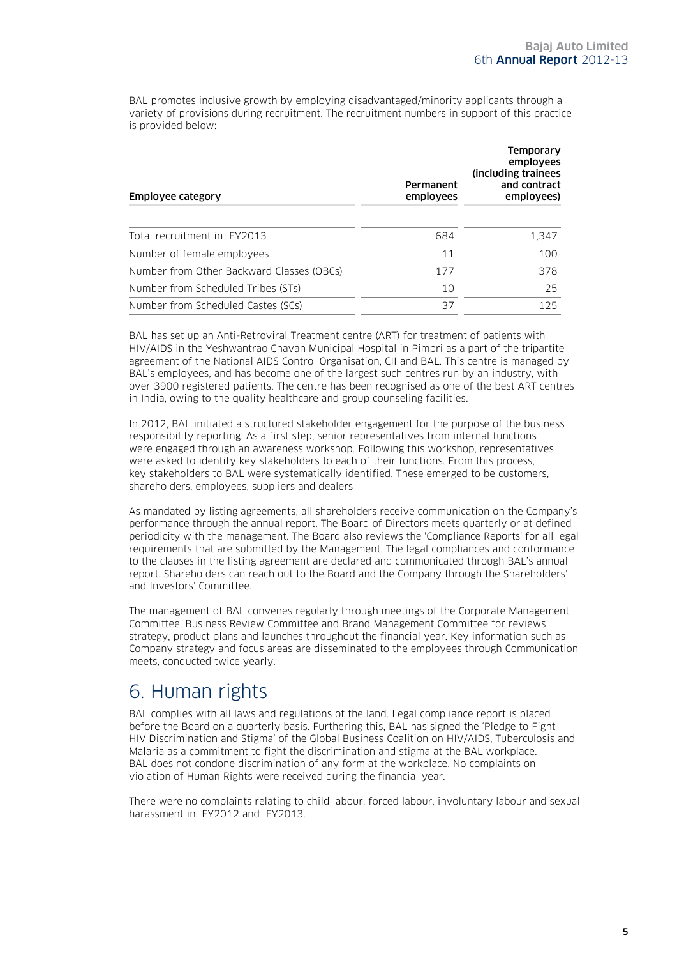BAL promotes inclusive growth by employing disadvantaged/minority applicants through a variety of provisions during recruitment. The recruitment numbers in support of this practice is provided below:

| Employee category                         | Permanent<br>employees | Temporary<br>employees<br>(including trainees)<br>and contract<br>employees) |
|-------------------------------------------|------------------------|------------------------------------------------------------------------------|
| Total recruitment in FY2013               | 684                    | 1,347                                                                        |
| Number of female employees                | 11                     | 100                                                                          |
| Number from Other Backward Classes (OBCs) | 177                    | 378                                                                          |
| Number from Scheduled Tribes (STs)        | 10                     | 25                                                                           |
| Number from Scheduled Castes (SCs)        | 37                     | 125                                                                          |
|                                           |                        |                                                                              |

BAL has set up an Anti-Retroviral Treatment centre (ART) for treatment of patients with HIV/AIDS in the Yeshwantrao Chavan Municipal Hospital in Pimpri as a part of the tripartite agreement of the National AIDS Control Organisation, CII and BAL. This centre is managed by BAL's employees, and has become one of the largest such centres run by an industry, with over 3900 registered patients. The centre has been recognised as one of the best ART centres in India, owing to the quality healthcare and group counseling facilities.

In 2012, BAL initiated a structured stakeholder engagement for the purpose of the business responsibility reporting. As a first step, senior representatives from internal functions were engaged through an awareness workshop. Following this workshop, representatives were asked to identify key stakeholders to each of their functions. From this process, key stakeholders to BAL were systematically identified. These emerged to be customers, shareholders, employees, suppliers and dealers

As mandated by listing agreements, all shareholders receive communication on the Company's performance through the annual report. The Board of Directors meets quarterly or at defined periodicity with the management. The Board also reviews the 'Compliance Reports' for all legal requirements that are submitted by the Management. The legal compliances and conformance to the clauses in the listing agreement are declared and communicated through BAL's annual report. Shareholders can reach out to the Board and the Company through the Shareholders' and Investors' Committee.

The management of BAL convenes regularly through meetings of the Corporate Management Committee, Business Review Committee and Brand Management Committee for reviews, strategy, product plans and launches throughout the financial year. Key information such as Company strategy and focus areas are disseminated to the employees through Communication meets, conducted twice yearly.

### 6. Human rights

BAL complies with all laws and regulations of the land. Legal compliance report is placed before the Board on a quarterly basis. Furthering this, BAL has signed the 'Pledge to Fight HIV Discrimination and Stigma' of the Global Business Coalition on HIV/AIDS, Tuberculosis and Malaria as a commitment to fight the discrimination and stigma at the BAL workplace. BAL does not condone discrimination of any form at the workplace. No complaints on violation of Human Rights were received during the financial year.

There were no complaints relating to child labour, forced labour, involuntary labour and sexual harassment in FY2012 and FY2013.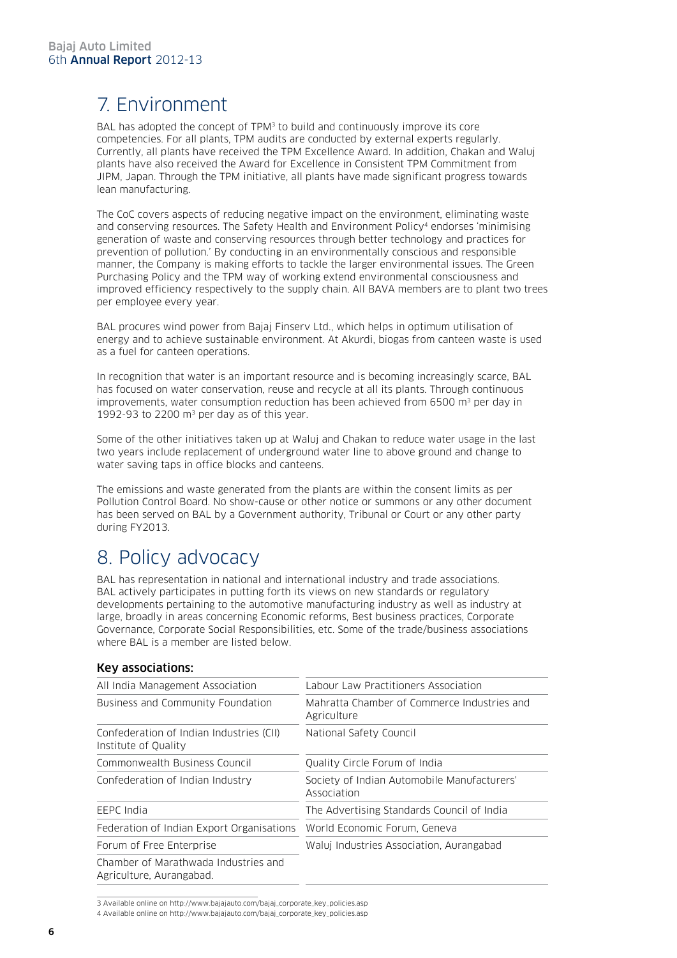# 7. Environment

BAL has adopted the concept of TPM<sup>3</sup> to build and continuously improve its core competencies. For all plants, TPM audits are conducted by external experts regularly. Currently, all plants have received the TPM Excellence Award. In addition, Chakan and Waluj plants have also received the Award for Excellence in Consistent TPM Commitment from JIPM, Japan. Through the TPM initiative, all plants have made significant progress towards lean manufacturing.

The CoC covers aspects of reducing negative impact on the environment, eliminating waste and conserving resources. The Safety Health and Environment Policy<sup>4</sup> endorses 'minimising generation of waste and conserving resources through better technology and practices for prevention of pollution.' By conducting in an environmentally conscious and responsible manner, the Company is making efforts to tackle the larger environmental issues. The Green Purchasing Policy and the TPM way of working extend environmental consciousness and improved efficiency respectively to the supply chain. All BAVA members are to plant two trees per employee every year.

BAL procures wind power from Bajaj Finserv Ltd., which helps in optimum utilisation of energy and to achieve sustainable environment. At Akurdi, biogas from canteen waste is used as a fuel for canteen operations.

In recognition that water is an important resource and is becoming increasingly scarce, BAL has focused on water conservation, reuse and recycle at all its plants. Through continuous improvements, water consumption reduction has been achieved from 6500  $\mathrm{m}^3$  per day in 1992-93 to 2200 m<sup>3</sup> per day as of this year.

Some of the other initiatives taken up at Waluj and Chakan to reduce water usage in the last two years include replacement of underground water line to above ground and change to water saving taps in office blocks and canteens.

The emissions and waste generated from the plants are within the consent limits as per Pollution Control Board. No show-cause or other notice or summons or any other document has been served on BAL by a Government authority, Tribunal or Court or any other party during FY2013.

### 8. Policy advocacy

BAL has representation in national and international industry and trade associations. BAL actively participates in putting forth its views on new standards or regulatory developments pertaining to the automotive manufacturing industry as well as industry at large, broadly in areas concerning Economic reforms, Best business practices, Corporate Governance, Corporate Social Responsibilities, etc. Some of the trade/business associations where BAL is a member are listed below.

#### All India Management Association Labour Law Practitioners Association Business and Community Foundation Mahratta Chamber of Commerce Industries and Agriculture Confederation of Indian Industries (CII) Institute of Quality National Safety Council Commonwealth Business Council **Commonwealth** Business Council Confederation of Indian Industry Society of Indian Automobile Manufacturers' Association EEPC India The Advertising Standards Council of India Federation of Indian Export Organisations World Economic Forum, Geneva Forum of Free Enterprise Waluj Industries Association, Aurangabad Chamber of Marathwada Industries and Agriculture, Aurangabad.

#### Key associations:

<sup>3</sup> Available online on http://www.bajajauto.com/bajaj\_corporate\_key\_policies.asp

<sup>4</sup> Available online on http://www.bajajauto.com/bajaj\_corporate\_key\_policies.asp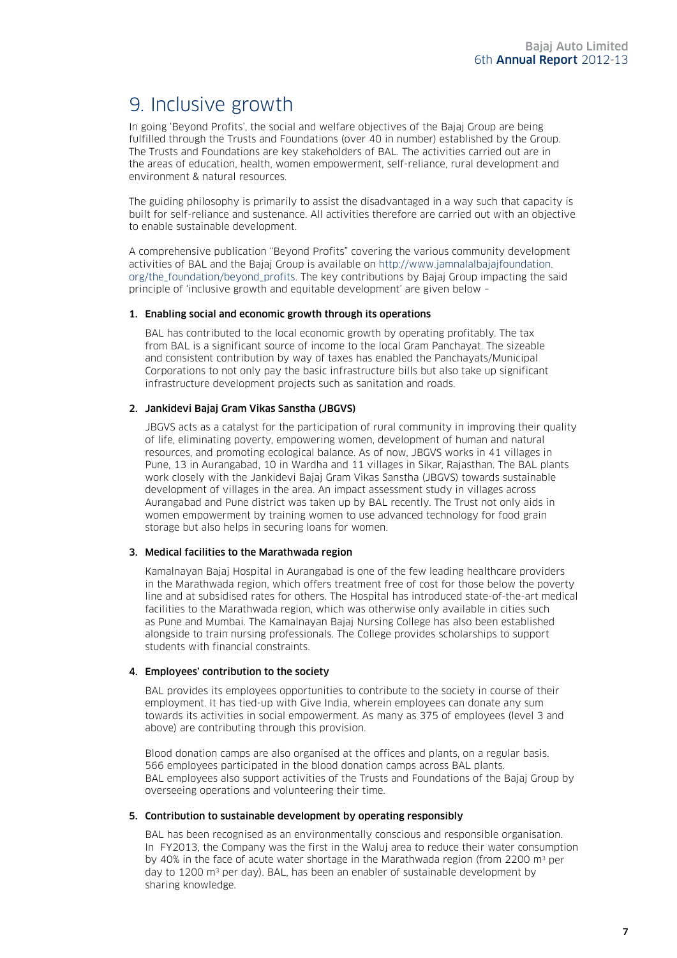## 9. Inclusive growth

In going 'Beyond Profits', the social and welfare objectives of the Bajaj Group are being fulfilled through the Trusts and Foundations (over 40 in number) established by the Group. The Trusts and Foundations are key stakeholders of BAL. The activities carried out are in the areas of education, health, women empowerment, self-reliance, rural development and environment & natural resources.

The guiding philosophy is primarily to assist the disadvantaged in a way such that capacity is built for self-reliance and sustenance. All activities therefore are carried out with an objective to enable sustainable development.

A comprehensive publication "Beyond Profits" covering the various community development activities of BAL and the Bajaj Group is available on http://www.jamnalalbajajfoundation. org/the foundation/beyond profits. The key contributions by Bajaj Group impacting the said principle of 'inclusive growth and equitable development' are given below –

#### 1. Enabling social and economic growth through its operations

BAL has contributed to the local economic growth by operating profitably. The tax from BAL is a significant source of income to the local Gram Panchayat. The sizeable and consistent contribution by way of taxes has enabled the Panchayats/Municipal Corporations to not only pay the basic infrastructure bills but also take up significant infrastructure development projects such as sanitation and roads.

#### 2. Jankidevi Bajaj Gram Vikas Sanstha (JBGVS)

JBGVS acts as a catalyst for the participation of rural community in improving their quality of life, eliminating poverty, empowering women, development of human and natural resources, and promoting ecological balance. As of now, JBGVS works in 41 villages in Pune, 13 in Aurangabad, 10 in Wardha and 11 villages in Sikar, Rajasthan. The BAL plants work closely with the Jankidevi Bajaj Gram Vikas Sanstha (JBGVS) towards sustainable development of villages in the area. An impact assessment study in villages across Aurangabad and Pune district was taken up by BAL recently. The Trust not only aids in women empowerment by training women to use advanced technology for food grain storage but also helps in securing loans for women.

#### 3. Medical facilities to the Marathwada region

Kamalnayan Bajaj Hospital in Aurangabad is one of the few leading healthcare providers in the Marathwada region, which offers treatment free of cost for those below the poverty line and at subsidised rates for others. The Hospital has introduced state-of-the-art medical facilities to the Marathwada region, which was otherwise only available in cities such as Pune and Mumbai. The Kamalnayan Bajaj Nursing College has also been established alongside to train nursing professionals. The College provides scholarships to support students with financial constraints.

#### 4. Employees' contribution to the society

BAL provides its employees opportunities to contribute to the society in course of their employment. It has tied-up with Give India, wherein employees can donate any sum towards its activities in social empowerment. As many as 375 of employees (level 3 and above) are contributing through this provision.

Blood donation camps are also organised at the offices and plants, on a regular basis. 566 employees participated in the blood donation camps across BAL plants. BAL employees also support activities of the Trusts and Foundations of the Bajaj Group by overseeing operations and volunteering their time.

#### 5. Contribution to sustainable development by operating responsibly

BAL has been recognised as an environmentally conscious and responsible organisation. In FY2013, the Company was the first in the Waluj area to reduce their water consumption by 40% in the face of acute water shortage in the Marathwada region (from 2200 m<sup>3</sup> per day to 1200 m<sup>3</sup> per day). BAL, has been an enabler of sustainable development by sharing knowledge.